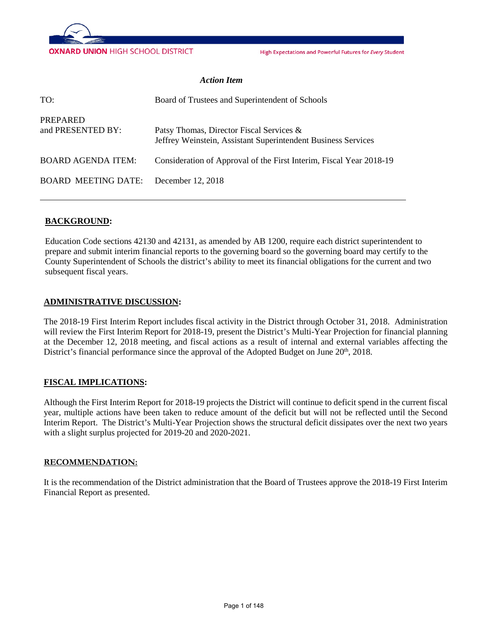

High Expectations and Powerful Futures for Every Student

#### *Action Item*

| TO:                                  | Board of Trustees and Superintendent of Schools                                                           |
|--------------------------------------|-----------------------------------------------------------------------------------------------------------|
| <b>PREPARED</b><br>and PRESENTED BY: | Patsy Thomas, Director Fiscal Services &<br>Jeffrey Weinstein, Assistant Superintendent Business Services |
| <b>BOARD AGENDA ITEM:</b>            | Consideration of Approval of the First Interim, Fiscal Year 2018-19                                       |
| <b>BOARD MEETING DATE:</b>           | December 12, 2018                                                                                         |

#### **BACKGROUND:**

Education Code sections 42130 and 42131, as amended by AB 1200, require each district superintendent to prepare and submit interim financial reports to the governing board so the governing board may certify to the County Superintendent of Schools the district's ability to meet its financial obligations for the current and two subsequent fiscal years.

#### **ADMINISTRATIVE DISCUSSION:**

The 2018-19 First Interim Report includes fiscal activity in the District through October 31, 2018. Administration will review the First Interim Report for 2018-19, present the District's Multi-Year Projection for financial planning at the December 12, 2018 meeting, and fiscal actions as a result of internal and external variables affecting the District's financial performance since the approval of the Adopted Budget on June 20<sup>th</sup>, 2018.

#### **FISCAL IMPLICATIONS:**

Although the First Interim Report for 2018-19 projects the District will continue to deficit spend in the current fiscal year, multiple actions have been taken to reduce amount of the deficit but will not be reflected until the Second Interim Report. The District's Multi-Year Projection shows the structural deficit dissipates over the next two years with a slight surplus projected for 2019-20 and 2020-2021.

#### **RECOMMENDATION:**

It is the recommendation of the District administration that the Board of Trustees approve the 2018-19 First Interim Financial Report as presented.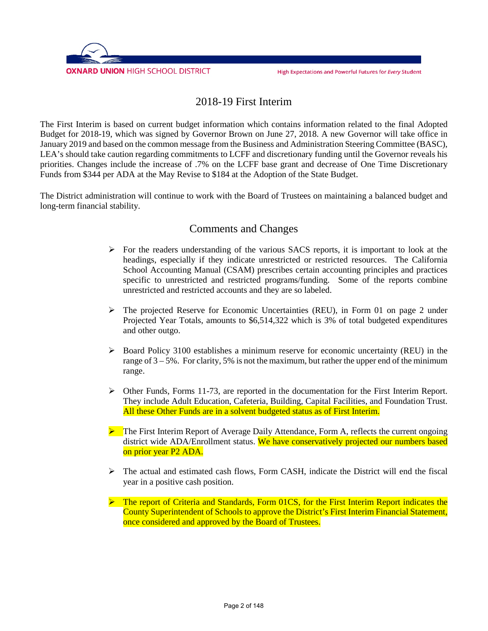

### 2018-19 First Interim

The First Interim is based on current budget information which contains information related to the final Adopted Budget for 2018-19, which was signed by Governor Brown on June 27, 2018. A new Governor will take office in January 2019 and based on the common message from the Business and Administration Steering Committee (BASC), LEA's should take caution regarding commitments to LCFF and discretionary funding until the Governor reveals his priorities. Changes include the increase of .7% on the LCFF base grant and decrease of One Time Discretionary Funds from \$344 per ADA at the May Revise to \$184 at the Adoption of the State Budget.

The District administration will continue to work with the Board of Trustees on maintaining a balanced budget and long-term financial stability.

### Comments and Changes

- $\triangleright$  For the readers understanding of the various SACS reports, it is important to look at the headings, especially if they indicate unrestricted or restricted resources. The California School Accounting Manual (CSAM) prescribes certain accounting principles and practices specific to unrestricted and restricted programs/funding. Some of the reports combine unrestricted and restricted accounts and they are so labeled.
- $\triangleright$  The projected Reserve for Economic Uncertainties (REU), in Form 01 on page 2 under Projected Year Totals, amounts to \$6,514,322 which is 3% of total budgeted expenditures and other outgo.
- $\triangleright$  Board Policy 3100 establishes a minimum reserve for economic uncertainty (REU) in the range of  $3 - 5\%$ . For clarity, 5% is not the maximum, but rather the upper end of the minimum range.
- $\triangleright$  Other Funds, Forms 11-73, are reported in the documentation for the First Interim Report. They include Adult Education, Cafeteria, Building, Capital Facilities, and Foundation Trust. All these Other Funds are in a solvent budgeted status as of First Interim.
- The First Interim Report of Average Daily Attendance, Form A, reflects the current ongoing district wide ADA/Enrollment status. We have conservatively projected our numbers based on prior year P2 ADA.
- $\triangleright$  The actual and estimated cash flows, Form CASH, indicate the District will end the fiscal year in a positive cash position.
- $\triangleright$  The report of Criteria and Standards, Form 01CS, for the First Interim Report indicates the County Superintendent of Schools to approve the District's First Interim Financial Statement, once considered and approved by the Board of Trustees.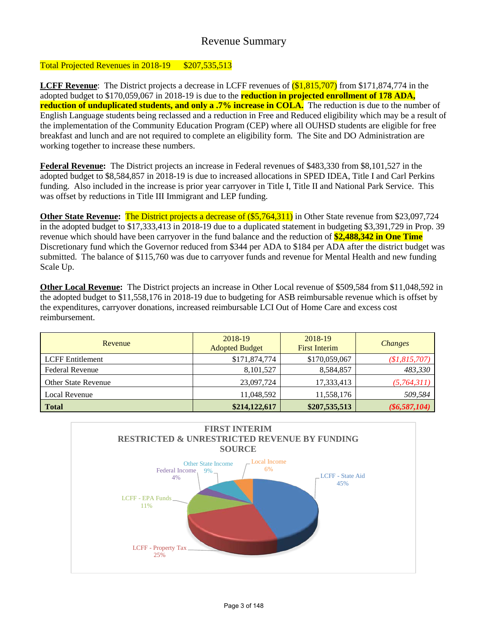## Revenue Summary

### Total Projected Revenues in 2018-19 \$207,535,513

**LCFF Revenue**: The District projects a decrease in LCFF revenues of  $(\$1,815,707)$  from \$171,874,774 in the adopted budget to \$170,059,067 in 2018-19 is due to the **reduction in projected enrollment of 178 ADA, reduction of unduplicated students, and only a .7% increase in COLA.** The reduction is due to the number of English Language students being reclassed and a reduction in Free and Reduced eligibility which may be a result of the implementation of the Community Education Program (CEP) where all OUHSD students are eligible for free breakfast and lunch and are not required to complete an eligibility form. The Site and DO Administration are working together to increase these numbers.

**Federal Revenue:** The District projects an increase in Federal revenues of \$483,330 from \$8,101,527 in the adopted budget to \$8,584,857 in 2018-19 is due to increased allocations in SPED IDEA, Title I and Carl Perkins funding. Also included in the increase is prior year carryover in Title I, Title II and National Park Service. This was offset by reductions in Title III Immigrant and LEP funding.

**Other State Revenue:** The District projects a decrease of (\$5,764,311) in Other State revenue from \$23,097,724 in the adopted budget to \$17,333,413 in 2018-19 due to a duplicated statement in budgeting \$3,391,729 in Prop. 39 revenue which should have been carryover in the fund balance and the reduction of **\$2,488,342 in One Time** Discretionary fund which the Governor reduced from \$344 per ADA to \$184 per ADA after the district budget was submitted. The balance of \$115,760 was due to carryover funds and revenue for Mental Health and new funding Scale Up.

**Other Local Revenue:** The District projects an increase in Other Local revenue of \$509,584 from \$11,048,592 in the adopted budget to \$11,558,176 in 2018-19 due to budgeting for ASB reimbursable revenue which is offset by the expenditures, carryover donations, increased reimbursable LCI Out of Home Care and excess cost reimbursement.

| Revenue                    | 2018-19<br><b>Adopted Budget</b> | 2018-19<br><b>First Interim</b> | <b>Changes</b>  |
|----------------------------|----------------------------------|---------------------------------|-----------------|
| <b>LCFF</b> Entitlement    | \$171,874,774                    | \$170,059,067                   | \$1,815,707     |
| <b>Federal Revenue</b>     | 8,101,527                        | 8,584,857                       | 483,330         |
| <b>Other State Revenue</b> | 23,097,724                       | 17,333,413                      | (5,764,311)     |
| Local Revenue              | 11,048,592                       | 11,558,176                      | 509,584         |
| <b>Total</b>               | \$214,122,617                    | \$207,535,513                   | $(\$6,587,104)$ |

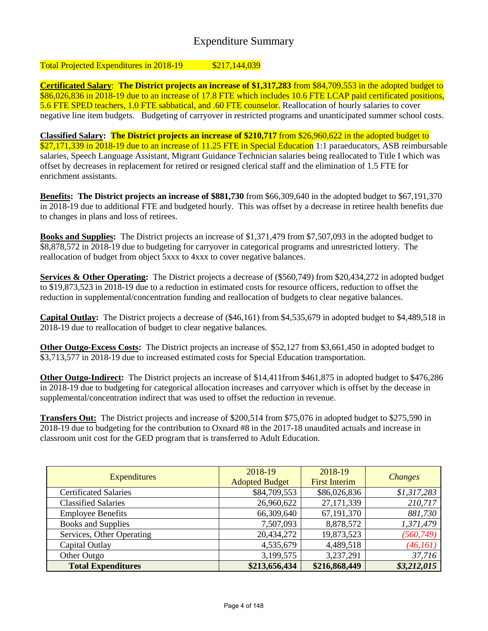# Expenditure Summary

### Total Projected Expenditures in 2018-19 \$217,144,039

**Certificated Salary**: **The District projects an increase of \$1,317,283** from \$84,709,553 in the adopted budget to \$86,026,836 in 2018-19 due to an increase of 17.8 FTE which includes 10.6 FTE LCAP paid certificated positions, 5.6 FTE SPED teachers, 1.0 FTE sabbatical, and .60 FTE counselor. Reallocation of hourly salaries to cover negative line item budgets. Budgeting of carryover in restricted programs and unanticipated summer school costs.

**Classified Salary: The District projects an increase of \$210,717** from \$26,960,622 in the adopted budget to \$27,171,339 in 2018-19 due to an increase of 11.25 FTE in Special Education 1:1 paraeducators, ASB reimbursable salaries, Speech Language Assistant, Migrant Guidance Technician salaries being reallocated to Title I which was offset by decreases in replacement for retired or resigned clerical staff and the elimination of 1.5 FTE for enrichment assistants.

**Benefits: The District projects an increase of \$881,730** from \$66,309,640 in the adopted budget to \$67,191,370 in 2018-19 due to additional FTE and budgeted hourly. This was offset by a decrease in retiree health benefits due to changes in plans and loss of retirees.

**Books and Supplies:** The District projects an increase of \$1,371,479 from \$7,507,093 in the adopted budget to \$8,878,572 in 2018-19 due to budgeting for carryover in categorical programs and unrestricted lottery. The reallocation of budget from object 5xxx to 4xxx to cover negative balances.

**Services & Other Operating:** The District projects a decrease of (\$560,749) from \$20,434,272 in adopted budget to \$19,873,523 in 2018-19 due to a reduction in estimated costs for resource officers, reduction to offset the reduction in supplemental/concentration funding and reallocation of budgets to clear negative balances.

**Capital Outlay:** The District projects a decrease of (\$46,161) from \$4,535,679 in adopted budget to \$4,489,518 in 2018-19 due to reallocation of budget to clear negative balances.

**Other Outgo-Excess Costs:** The District projects an increase of \$52,127 from \$3,661,450 in adopted budget to \$3,713,577 in 2018-19 due to increased estimated costs for Special Education transportation.

**Other Outgo-Indirect:** The District projects an increase of \$14,411from \$461,875 in adopted budget to \$476,286 in 2018-19 due to budgeting for categorical allocation increases and carryover which is offset by the decease in supplemental/concentration indirect that was used to offset the reduction in revenue.

**Transfers Out:** The District projects and increase of \$200,514 from \$75,076 in adopted budget to \$275,590 in 2018-19 due to budgeting for the contribution to Oxnard #8 in the 2017-18 unaudited actuals and increase in classroom unit cost for the GED program that is transferred to Adult Education.

| <b>Expenditures</b>          | 2018-19<br><b>Adopted Budget</b> | 2018-19<br><b>First Interim</b> | <b>Changes</b> |
|------------------------------|----------------------------------|---------------------------------|----------------|
| <b>Certificated Salaries</b> | \$84,709,553                     | \$86,026,836                    | \$1,317,283    |
| <b>Classified Salaries</b>   | 26,960,622                       | 27, 171, 339                    | 210,717        |
| <b>Employee Benefits</b>     | 66,309,640                       | 67,191,370                      | 881,730        |
| <b>Books and Supplies</b>    | 7,507,093                        | 8,878,572                       | 1,371,479      |
| Services, Other Operating    | 20,434,272                       | 19,873,523                      | (560, 749)     |
| Capital Outlay               | 4,535,679                        | 4,489,518                       | (46, 161)      |
| Other Outgo                  | 3,199,575                        | 3,237,291                       | 37,716         |
| <b>Total Expenditures</b>    | \$213,656,434                    | \$216,868,449                   | \$3,212,015    |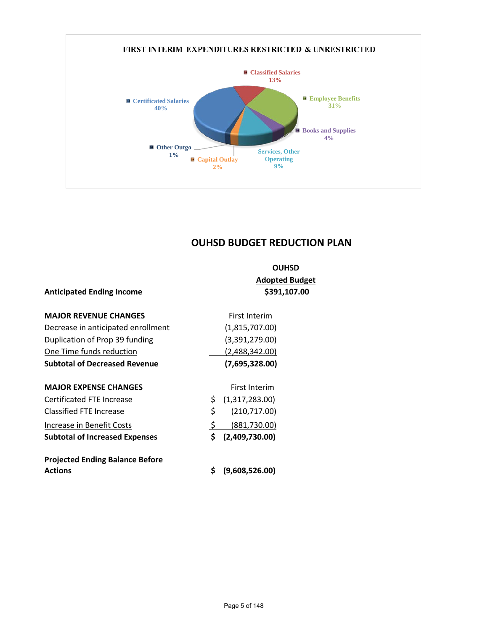

# **OUHSD BUDGET REDUCTION PLAN**

|                                        |     | <b>OUHSD</b>          |
|----------------------------------------|-----|-----------------------|
|                                        |     | <b>Adopted Budget</b> |
| <b>Anticipated Ending Income</b>       |     | \$391,107.00          |
| <b>MAJOR REVENUE CHANGES</b>           |     | <b>First Interim</b>  |
| Decrease in anticipated enrollment     |     | (1,815,707.00)        |
| Duplication of Prop 39 funding         |     | (3,391,279.00)        |
| One Time funds reduction               |     | (2,488,342.00)        |
| <b>Subtotal of Decreased Revenue</b>   |     | (7,695,328.00)        |
| <b>MAJOR EXPENSE CHANGES</b>           |     | <b>First Interim</b>  |
| Certificated FTE Increase              | \$. | (1,317,283.00)        |
| Classified FTE Increase                | \$  | (210, 717.00)         |
| Increase in Benefit Costs              | \$  | (881,730.00)          |
| <b>Subtotal of Increased Expenses</b>  | \$  | (2,409,730.00)        |
| <b>Projected Ending Balance Before</b> |     |                       |
| <b>Actions</b>                         | Ś   | (9,608,526.00)        |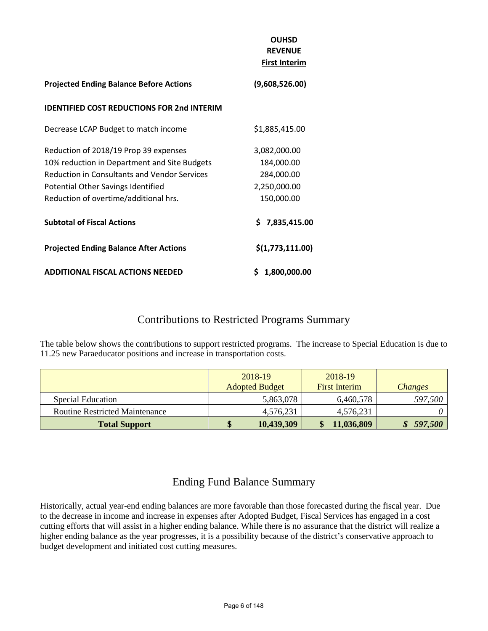|                                                     | <b>OUHSD</b><br><b>REVENUE</b><br><b>First Interim</b> |
|-----------------------------------------------------|--------------------------------------------------------|
| <b>Projected Ending Balance Before Actions</b>      | (9,608,526.00)                                         |
| <b>IDENTIFIED COST REDUCTIONS FOR 2nd INTERIM</b>   |                                                        |
| Decrease LCAP Budget to match income                | \$1,885,415.00                                         |
| Reduction of 2018/19 Prop 39 expenses               | 3,082,000.00                                           |
| 10% reduction in Department and Site Budgets        | 184,000.00                                             |
| <b>Reduction in Consultants and Vendor Services</b> | 284,000.00                                             |
| Potential Other Savings Identified                  | 2,250,000.00                                           |
| Reduction of overtime/additional hrs.               | 150,000.00                                             |
| <b>Subtotal of Fiscal Actions</b>                   | \$7,835,415.00                                         |
| <b>Projected Ending Balance After Actions</b>       | \$(1,773,111.00)                                       |
| <b>ADDITIONAL FISCAL ACTIONS NEEDED</b>             | \$<br>1,800,000.00                                     |

## Contributions to Restricted Programs Summary

The table below shows the contributions to support restricted programs. The increase to Special Education is due to 11.25 new Paraeducator positions and increase in transportation costs.

|                                       | 2018-19<br><b>Adopted Budget</b> | 2018-19<br><b>First Interim</b> | <b>Changes</b> |
|---------------------------------------|----------------------------------|---------------------------------|----------------|
| <b>Special Education</b>              | 5,863,078                        | 6,460,578                       | 597,500        |
| <b>Routine Restricted Maintenance</b> | 4,576,231                        | 4,576,231                       |                |
| <b>Total Support</b>                  | 10,439,309                       | 11,036,809                      | 597,500        |

# Ending Fund Balance Summary

Historically, actual year-end ending balances are more favorable than those forecasted during the fiscal year. Due to the decrease in income and increase in expenses after Adopted Budget, Fiscal Services has engaged in a cost cutting efforts that will assist in a higher ending balance. While there is no assurance that the district will realize a higher ending balance as the year progresses, it is a possibility because of the district's conservative approach to budget development and initiated cost cutting measures.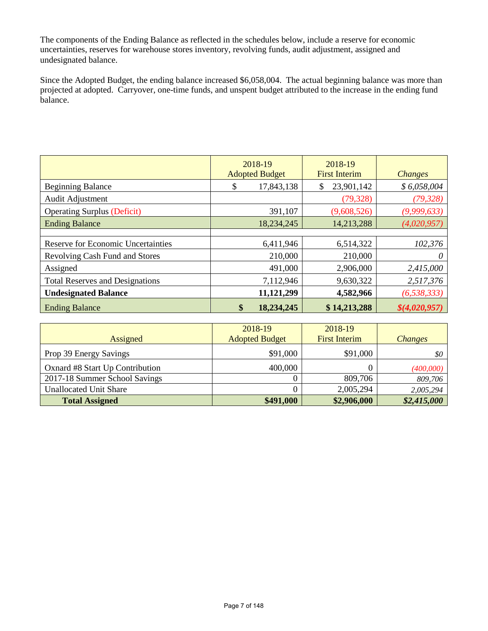The components of the Ending Balance as reflected in the schedules below, include a reserve for economic uncertainties, reserves for warehouse stores inventory, revolving funds, audit adjustment, assigned and undesignated balance.

Since the Adopted Budget, the ending balance increased \$6,058,004. The actual beginning balance was more than projected at adopted. Carryover, one-time funds, and unspent budget attributed to the increase in the ending fund balance.

|                                           | 2018-19<br><b>Adopted Budget</b> | 2018-19<br><b>First Interim</b> | <b>Changes</b> |
|-------------------------------------------|----------------------------------|---------------------------------|----------------|
| <b>Beginning Balance</b>                  | \$<br>17,843,138                 | 23,901,142<br>\$                | \$6,058,004    |
| Audit Adjustment                          |                                  | (79, 328)                       | (79, 328)      |
| <b>Operating Surplus (Deficit)</b>        | 391,107                          | (9,608,526)                     | (9,999,633)    |
| <b>Ending Balance</b>                     | 18,234,245                       | 14,213,288                      | (4,020,957)    |
|                                           |                                  |                                 |                |
| <b>Reserve for Economic Uncertainties</b> | 6,411,946                        | 6,514,322                       | 102,376        |
| Revolving Cash Fund and Stores            | 210,000                          | 210,000                         | 0              |
| Assigned                                  | 491,000                          | 2,906,000                       | 2,415,000      |
| <b>Total Reserves and Designations</b>    | 7,112,946                        | 9,630,322                       | 2,517,376      |
| <b>Undesignated Balance</b>               | 11,121,299                       | 4,582,966                       | (6, 538, 333)  |
| <b>Ending Balance</b>                     | \$<br>18,234,245                 | \$14,213,288                    | \$(4,020,957)  |

| Assigned                        | 2018-19<br><b>Adopted Budget</b> | 2018-19<br><b>First Interim</b> | <b>Changes</b> |
|---------------------------------|----------------------------------|---------------------------------|----------------|
|                                 |                                  |                                 |                |
| Prop 39 Energy Savings          | \$91,000                         | \$91,000                        | \$0            |
| Oxnard #8 Start Up Contribution | 400,000                          |                                 | (400,000)      |
| 2017-18 Summer School Savings   |                                  | 809,706                         | 809,706        |
| <b>Unallocated Unit Share</b>   |                                  | 2,005,294                       | 2,005,294      |
| <b>Total Assigned</b>           | \$491,000                        | \$2,906,000                     | \$2,415,000    |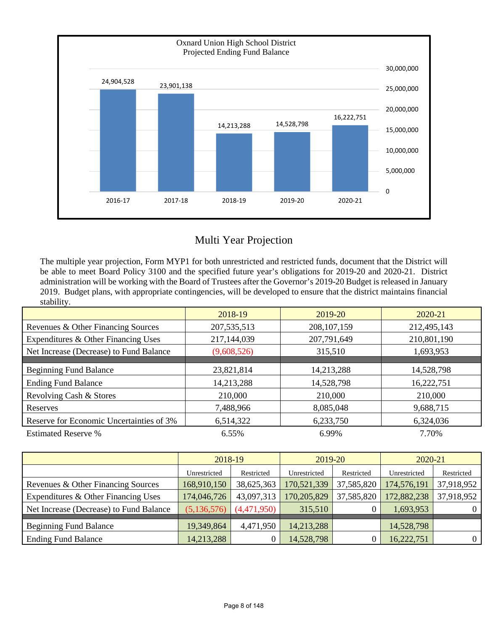

# Multi Year Projection

The multiple year projection, Form MYP1 for both unrestricted and restricted funds, document that the District will be able to meet Board Policy 3100 and the specified future year's obligations for 2019-20 and 2020-21. District administration will be working with the Board of Trustees after the Governor's 2019-20 Budget is released in January 2019. Budget plans, with appropriate contingencies, will be developed to ensure that the district maintains financial stability.

|                                          | 2018-19       | 2019-20       | $2020 - 21$ |
|------------------------------------------|---------------|---------------|-------------|
| Revenues & Other Financing Sources       | 207, 535, 513 | 208, 107, 159 | 212,495,143 |
| Expenditures & Other Financing Uses      | 217,144,039   | 207,791,649   | 210,801,190 |
| Net Increase (Decrease) to Fund Balance  | (9,608,526)   | 315,510       | 1,693,953   |
|                                          |               |               |             |
| <b>Beginning Fund Balance</b>            | 23,821,814    | 14,213,288    | 14,528,798  |
| <b>Ending Fund Balance</b>               | 14,213,288    | 14,528,798    | 16,222,751  |
| Revolving Cash & Stores                  | 210,000       | 210,000       | 210,000     |
| <b>Reserves</b>                          | 7,488,966     | 8,085,048     | 9,688,715   |
| Reserve for Economic Uncertainties of 3% | 6,514,322     | 6,233,750     | 6,324,036   |
| <b>Estimated Reserve %</b>               | 6.55%         | 6.99%         | 7.70%       |

|                                         | 2018-19      |             | 2019-20      |            | 2020-21      |                |
|-----------------------------------------|--------------|-------------|--------------|------------|--------------|----------------|
|                                         | Unrestricted | Restricted  | Unrestricted | Restricted | Unrestricted | Restricted     |
| Revenues & Other Financing Sources      | 168,910,150  | 38,625,363  | 170,521,339  | 37,585,820 | 174,576,191  | 37,918,952     |
| Expenditures & Other Financing Uses     | 174,046,726  | 43,097,313  | 170,205,829  | 37,585,820 | 172,882,238  | 37,918,952     |
| Net Increase (Decrease) to Fund Balance | (5,136,576)  | (4,471,950) | 315,510      |            | 1,693,953    | $\overline{0}$ |
| <b>Beginning Fund Balance</b>           | 19,349,864   | 4,471,950   | 14,213,288   |            | 14,528,798   |                |
| <b>Ending Fund Balance</b>              | 14,213,288   |             | 14,528,798   |            | 16,222,751   | $\Omega$       |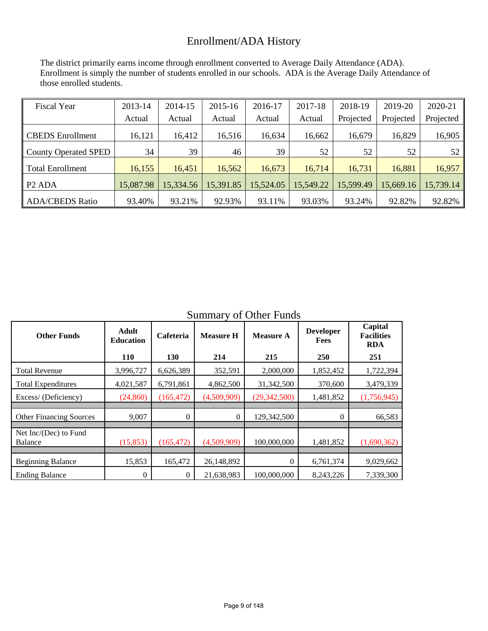# Enrollment/ADA History

The district primarily earns income through enrollment converted to Average Daily Attendance (ADA). Enrollment is simply the number of students enrolled in our schools. ADA is the Average Daily Attendance of those enrolled students.

| <b>Fiscal Year</b>          | 2013-14   | 2014-15   | 2015-16   | 2016-17   | 2017-18   | 2018-19   | 2019-20   | 2020-21   |
|-----------------------------|-----------|-----------|-----------|-----------|-----------|-----------|-----------|-----------|
|                             | Actual    | Actual    | Actual    | Actual    | Actual    | Projected | Projected | Projected |
| CBEDS Enrollment            | 16,121    | 16,412    | 16,516    | 16,634    | 16,662    | 16,679    | 16,829    | 16,905    |
| <b>County Operated SPED</b> | 34        | 39        | 46        | 39        | 52        | 52        | 52        | 52        |
| Total Enrollment            | 16,155    | 16,451    | 16,562    | 16,673    | 16,714    | 16,731    | 16,881    | 16,957    |
| $P2$ ADA                    | 15,087.98 | 15,334.56 | 15,391.85 | 15,524.05 | 15,549.22 | 15,599.49 | 15,669.16 | 15,739.14 |
| <b>ADA/CBEDS Ratio</b>      | 93.40%    | 93.21%    | 92.93%    | 93.11%    | 93.03%    | 93.24%    | 92.82%    | 92.82%    |

Summary of Other Funds

| <b>Other Funds</b>                      | <b>Adult</b><br><b>Education</b> | Cafeteria      | <b>Measure H</b> | <b>Measure A</b> | <b>Developer</b><br>Fees | Capital<br><b>Facilities</b><br><b>RDA</b> |
|-----------------------------------------|----------------------------------|----------------|------------------|------------------|--------------------------|--------------------------------------------|
|                                         | <b>110</b>                       | 130            | 214              | 215              | 250                      | 251                                        |
| <b>Total Revenue</b>                    | 3,996,727                        | 6,626,389      | 352,591          | 2,000,000        | 1,852,452                | 1,722,394                                  |
| <b>Total Expenditures</b>               | 4,021,587                        | 6,791,861      | 4,862,500        | 31,342,500       | 370,600                  | 3,479,339                                  |
| Excess/ (Deficiency)                    | (24, 860)                        | (165, 472)     | (4,509,909)      | (29, 342, 500)   | 1,481,852                | (1,756,945)                                |
| <b>Other Financing Sources</b>          | 9,007                            | $\overline{0}$ | 0                | 129,342,500      | $\theta$                 | 66,583                                     |
| Net Inc/(Dec) to Fund<br><b>Balance</b> | (15, 853)                        | (165, 472)     | (4,509,909)      | 100,000,000      | 1,481,852                | (1,690,362)                                |
| <b>Beginning Balance</b>                | 15,853                           | 165,472        | 26,148,892       | 0                | 6,761,374                | 9,029,662                                  |
| <b>Ending Balance</b>                   | 0                                | $\Omega$       | 21,638,983       | 100,000,000      | 8,243,226                | 7.339.300                                  |